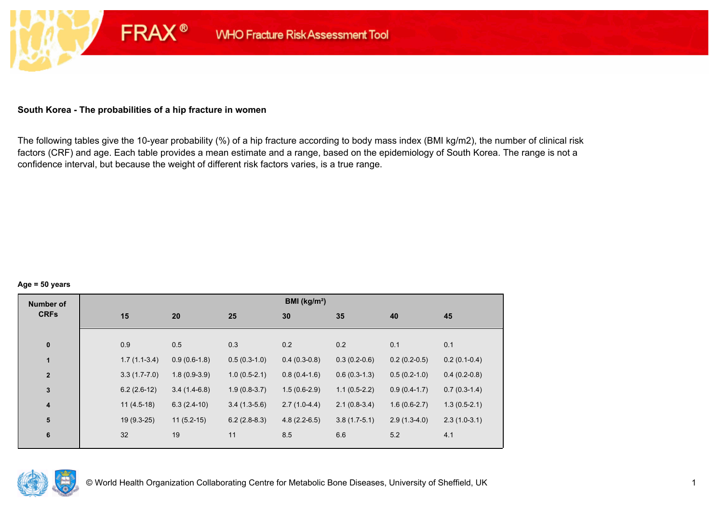## **South Korea - The probabilities of a hip fracture in women**

**FRAX®** 

The following tables give the 10-year probability (%) of a hip fracture according to body mass index (BMI kg/m2), the number of clinical risk factors (CRF) and age. Each table provides a mean estimate and a range, based on the epidemiology of South Korea. The range is not a confidence interval, but because the weight of different risk factors varies, is a true range.

#### **Age = 50 years**

| <b>Number of</b>        |     |                                  |                | BMI ( $kg/m2$ ) |                |                |                |
|-------------------------|-----|----------------------------------|----------------|-----------------|----------------|----------------|----------------|
| <b>CRFs</b>             | 15  | 20                               | 25             | 30              | 35             | 40             | 45             |
|                         |     |                                  |                |                 |                |                |                |
| $\pmb{0}$               | 0.9 | 0.5                              | 0.3            | 0.2             | 0.2            | 0.1            | 0.1            |
| $\mathbf{1}$            |     | $1.7(1.1-3.4)$<br>$0.9(0.6-1.8)$ | $0.5(0.3-1.0)$ | $0.4(0.3-0.8)$  | $0.3(0.2-0.6)$ | $0.2(0.2-0.5)$ | $0.2(0.1-0.4)$ |
| $\overline{2}$          |     | $3.3(1.7-7.0)$<br>$1.8(0.9-3.9)$ | $1.0(0.5-2.1)$ | $0.8(0.4-1.6)$  | $0.6(0.3-1.3)$ | $0.5(0.2-1.0)$ | $0.4(0.2-0.8)$ |
| $\overline{\mathbf{3}}$ |     | $6.2(2.6-12)$<br>$3.4(1.4-6.8)$  | $1.9(0.8-3.7)$ | $1.5(0.6-2.9)$  | $1.1(0.5-2.2)$ | $0.9(0.4-1.7)$ | $0.7(0.3-1.4)$ |
| $\boldsymbol{4}$        |     | $11(4.5-18)$<br>$6.3(2.4-10)$    | $3.4(1.3-5.6)$ | $2.7(1.0-4.4)$  | $2.1(0.8-3.4)$ | $1.6(0.6-2.7)$ | $1.3(0.5-2.1)$ |
| 5                       |     | $19(9.3-25)$<br>$11(5.2-15)$     | $6.2(2.8-8.3)$ | $4.8(2.2-6.5)$  | $3.8(1.7-5.1)$ | $2.9(1.3-4.0)$ | $2.3(1.0-3.1)$ |
| $6\phantom{1}6$         | 32  | 19                               | 11             | 8.5             | 6.6            | 5.2            | 4.1            |
|                         |     |                                  |                |                 |                |                |                |

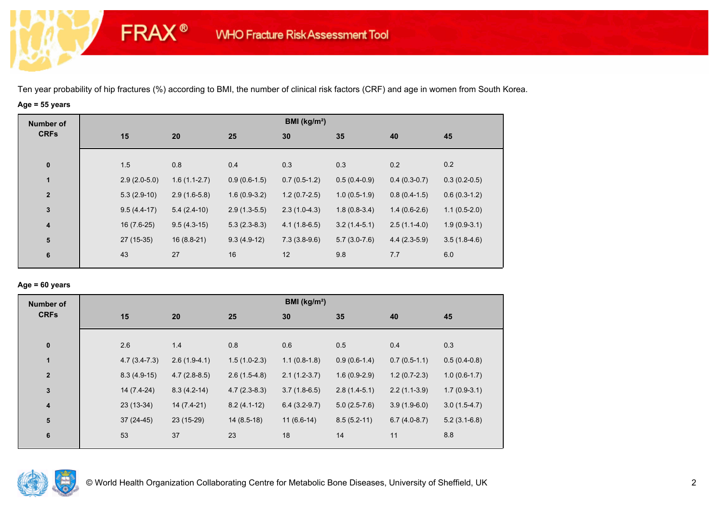## **Age = 55 years**

**FRAX®** 

| BMI (kg/m <sup>2</sup> ) |  |  |  |  |  |  |  |  |  |
|--------------------------|--|--|--|--|--|--|--|--|--|
|                          |  |  |  |  |  |  |  |  |  |
|                          |  |  |  |  |  |  |  |  |  |
|                          |  |  |  |  |  |  |  |  |  |
| $0.3(0.2-0.5)$           |  |  |  |  |  |  |  |  |  |
| $0.6(0.3-1.2)$           |  |  |  |  |  |  |  |  |  |
| $1.1(0.5-2.0)$           |  |  |  |  |  |  |  |  |  |
| $1.9(0.9-3.1)$           |  |  |  |  |  |  |  |  |  |
| $3.5(1.8-4.6)$           |  |  |  |  |  |  |  |  |  |
|                          |  |  |  |  |  |  |  |  |  |
|                          |  |  |  |  |  |  |  |  |  |

## **Age = 60 years**

| <b>Number of</b>        | BMI ( $kg/m2$ ) |                |                |                |                |                |                |  |  |  |
|-------------------------|-----------------|----------------|----------------|----------------|----------------|----------------|----------------|--|--|--|
| <b>CRFs</b>             | 15              | 20             | 25             | 30             | 35             | 40             | 45             |  |  |  |
| $\bf{0}$                | 2.6             | 1.4            | 0.8            | 0.6            | 0.5            | 0.4            | 0.3            |  |  |  |
| $\mathbf{1}$            | $4.7(3.4-7.3)$  | $2.6(1.9-4.1)$ | $1.5(1.0-2.3)$ | $1.1(0.8-1.8)$ | $0.9(0.6-1.4)$ | $0.7(0.5-1.1)$ | $0.5(0.4-0.8)$ |  |  |  |
| $\mathbf{2}$            | $8.3(4.9-15)$   | $4.7(2.8-8.5)$ | $2.6(1.5-4.8)$ | $2.1(1.2-3.7)$ | $1.6(0.9-2.9)$ | $1.2(0.7-2.3)$ | $1.0(0.6-1.7)$ |  |  |  |
| $\mathbf{3}$            | 14 (7.4-24)     | $8.3(4.2-14)$  | $4.7(2.3-8.3)$ | $3.7(1.8-6.5)$ | $2.8(1.4-5.1)$ | $2.2(1.1-3.9)$ | $1.7(0.9-3.1)$ |  |  |  |
| $\overline{\mathbf{4}}$ | $23(13-34)$     | $14(7.4-21)$   | $8.2(4.1-12)$  | $6.4(3.2-9.7)$ | $5.0(2.5-7.6)$ | $3.9(1.9-6.0)$ | $3.0(1.5-4.7)$ |  |  |  |
| 5                       | $37(24-45)$     | 23 (15-29)     | $14(8.5-18)$   | $11(6.6-14)$   | $8.5(5.2-11)$  | $6.7(4.0-8.7)$ | $5.2(3.1-6.8)$ |  |  |  |
| $6\phantom{1}6$         | 53              | 37             | 23             | 18             | 14             | 11             | 8.8            |  |  |  |

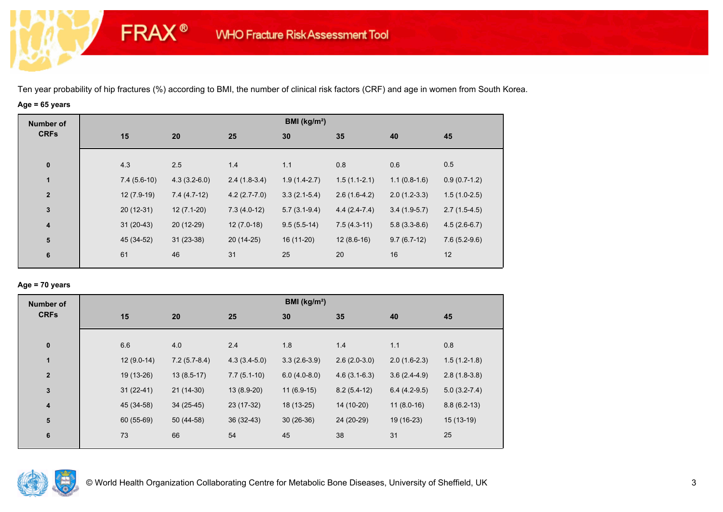# **Age = 65 years**

**FRAX®** 

| <b>Number of</b>        |               |                |                | BMI ( $kg/m2$ ) |                |                |                |
|-------------------------|---------------|----------------|----------------|-----------------|----------------|----------------|----------------|
| <b>CRFs</b>             | 15            | 20             | 25             | 30              | 35             | 40             | 45             |
|                         |               |                |                |                 |                |                |                |
| $\bf{0}$                | 4.3           | 2.5            | 1.4            | 1.1             | 0.8            | 0.6            | 0.5            |
| 1                       | $7.4(5.6-10)$ | $4.3(3.2-6.0)$ | $2.4(1.8-3.4)$ | $1.9(1.4-2.7)$  | $1.5(1.1-2.1)$ | $1.1(0.8-1.6)$ | $0.9(0.7-1.2)$ |
| $\overline{2}$          | $12(7.9-19)$  | $7.4(4.7-12)$  | $4.2(2.7-7.0)$ | $3.3(2.1-5.4)$  | $2.6(1.6-4.2)$ | $2.0(1.2-3.3)$ | $1.5(1.0-2.5)$ |
| $\mathbf{3}$            | $20(12-31)$   | $12(7.1-20)$   | $7.3(4.0-12)$  | $5.7(3.1-9.4)$  | $4.4(2.4-7.4)$ | $3.4(1.9-5.7)$ | $2.7(1.5-4.5)$ |
| $\overline{\mathbf{4}}$ | $31(20-43)$   | 20 (12-29)     | $12(7.0-18)$   | $9.5(5.5-14)$   | $7.5(4.3-11)$  | $5.8(3.3-8.6)$ | $4.5(2.6-6.7)$ |
| ${\bf 5}$               | 45 (34-52)    | $31(23-38)$    | $20(14-25)$    | $16(11-20)$     | $12(8.6-16)$   | $9.7(6.7-12)$  | $7.6(5.2-9.6)$ |
| 6                       | 61            | 46             | 31             | 25              | 20             | 16             | 12             |
|                         |               |                |                |                 |                |                |                |

## **Age = 70 years**

| <b>Number of</b>        | BMI (kg/m <sup>2</sup> ) |                |                |                |                |                |                |  |  |  |
|-------------------------|--------------------------|----------------|----------------|----------------|----------------|----------------|----------------|--|--|--|
| <b>CRFs</b>             | 15                       | 20             | 25             | 30             | 35             | 40             | 45             |  |  |  |
| $\pmb{0}$               | 6.6                      | 4.0            | 2.4            | 1.8            | 1.4            | 1.1            | 0.8            |  |  |  |
| $\mathbf{1}$            | $12(9.0-14)$             | $7.2(5.7-8.4)$ | $4.3(3.4-5.0)$ | $3.3(2.6-3.9)$ | $2.6(2.0-3.0)$ | $2.0(1.6-2.3)$ | $1.5(1.2-1.8)$ |  |  |  |
| $\overline{\mathbf{2}}$ | 19 (13-26)               | $13(8.5-17)$   | $7.7(5.1-10)$  | $6.0(4.0-8.0)$ | $4.6(3.1-6.3)$ | $3.6(2.4-4.9)$ | $2.8(1.8-3.8)$ |  |  |  |
| $\mathbf 3$             | $31(22-41)$              | $21(14-30)$    | $13(8.9-20)$   | $11(6.9-15)$   | $8.2(5.4-12)$  | $6.4(4.2-9.5)$ | $5.0(3.2-7.4)$ |  |  |  |
| $\overline{\mathbf{4}}$ | 45 (34-58)               | $34(25-45)$    | 23 (17-32)     | 18 (13-25)     | 14 (10-20)     | $11(8.0-16)$   | $8.8(6.2-13)$  |  |  |  |
| 5                       | 60 (55-69)               | 50 (44-58)     | $36(32-43)$    | $30(26-36)$    | 24 (20-29)     | 19 (16-23)     | $15(13-19)$    |  |  |  |
| 6                       | 73                       | 66             | 54             | 45             | 38             | 31             | 25             |  |  |  |

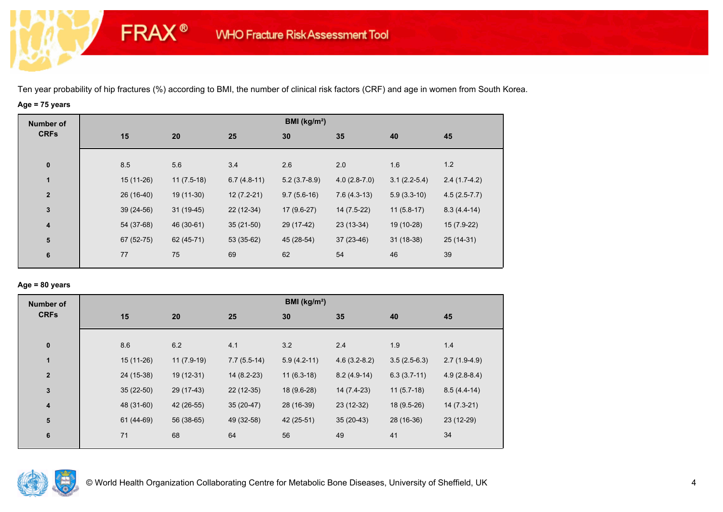# **Age = 75 years**

**FRAX®** 

| <b>Number of</b>        |     |                             |               | BMI (kg/m <sup>2</sup> ) |                |                |                |
|-------------------------|-----|-----------------------------|---------------|--------------------------|----------------|----------------|----------------|
| <b>CRFs</b>             | 15  | 20                          | 25            | 30                       | 35             | 40             | 45             |
|                         |     |                             |               |                          |                |                |                |
| $\bf{0}$                | 8.5 | 5.6                         | 3.4           | 2.6                      | 2.0            | 1.6            | 1.2            |
| 1                       |     | $15(11-26)$<br>$11(7.5-18)$ | $6.7(4.8-11)$ | $5.2(3.7-8.9)$           | $4.0(2.8-7.0)$ | $3.1(2.2-5.4)$ | $2.4(1.7-4.2)$ |
| $\overline{\mathbf{2}}$ |     | 26 (16-40)<br>19 (11-30)    | $12(7.2-21)$  | $9.7(5.6-16)$            | $7.6(4.3-13)$  | $5.9(3.3-10)$  | $4.5(2.5-7.7)$ |
| $\mathbf{3}$            |     | $31(19-45)$<br>$39(24-56)$  | $22(12-34)$   | 17 (9.6-27)              | 14 (7.5-22)    | $11(5.8-17)$   | $8.3(4.4-14)$  |
| $\overline{\mathbf{4}}$ |     | 54 (37-68)<br>46 (30-61)    | $35(21-50)$   | 29 (17-42)               | $23(13-34)$    | 19 (10-28)     | $15(7.9-22)$   |
| 5                       |     | 67 (52-75)<br>62 (45-71)    | 53 (35-62)    | 45 (28-54)               | $37(23-46)$    | $31(18-38)$    | 25 (14-31)     |
| 6                       | 77  | 75                          | 69            | 62                       | 54             | 46             | 39             |
|                         |     |                             |               |                          |                |                |                |

## **Age = 80 years**

| <b>Number of</b>        |             |              |               | BMI ( $kg/m2$ ) |                |                |                |
|-------------------------|-------------|--------------|---------------|-----------------|----------------|----------------|----------------|
| <b>CRFs</b>             | 15          | 20           | 25            | 30              | 35             | 40             | 45             |
| $\pmb{0}$               | 8.6         | 6.2          | 4.1           | 3.2             | 2.4            | 1.9            | 1.4            |
| $\mathbf{1}$            | 15 (11-26)  | $11(7.9-19)$ | $7.7(5.5-14)$ | $5.9(4.2-11)$   | $4.6(3.2-8.2)$ | $3.5(2.5-6.3)$ | $2.7(1.9-4.9)$ |
| $\mathbf{2}$            | 24 (15-38)  | $19(12-31)$  | $14(8.2-23)$  | $11(6.3-18)$    | $8.2(4.9-14)$  | $6.3(3.7-11)$  | $4.9(2.8-8.4)$ |
| 3                       | $35(22-50)$ | 29 (17-43)   | $22(12-35)$   | 18 (9.6-28)     | 14 (7.4-23)    | $11(5.7-18)$   | $8.5(4.4-14)$  |
| $\overline{\mathbf{4}}$ | 48 (31-60)  | 42 (26-55)   | $35(20-47)$   | 28 (16-39)      | $23(12-32)$    | 18 (9.5-26)    | $14(7.3-21)$   |
| ${\bf 5}$               | 61 (44-69)  | 56 (38-65)   | 49 (32-58)    | 42 (25-51)      | $35(20-43)$    | 28 (16-36)     | 23 (12-29)     |
| $6\phantom{1}6$         | 71          | 68           | 64            | 56              | 49             | 41             | 34             |